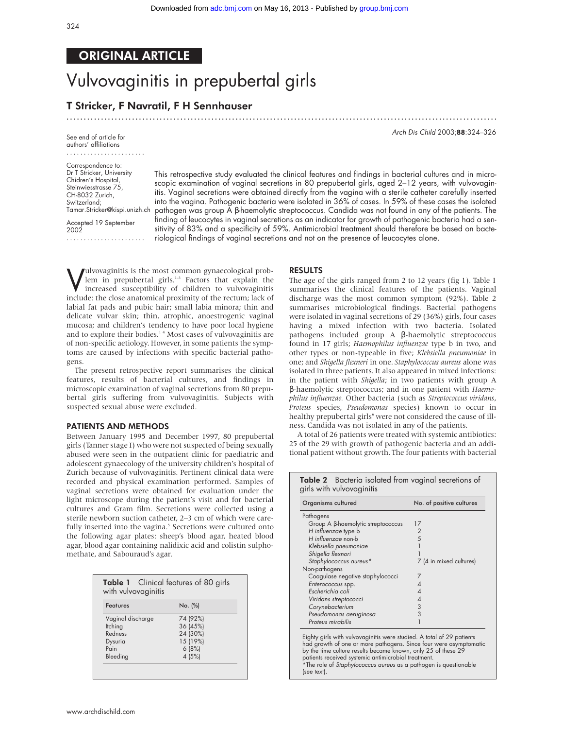# ORIGINAL ARTICLE

# Vulvovaginitis in prepubertal girls

# T Stricker, F Navratil, F H Sennhauser

.............................................................................................................................

Arch Dis Child 2003;88:324–326

See end of article for authors' affiliations .......................

Correspondence to: Dr T Stricker, University Chidren's Hospital, Steinwiesstrasse 75, CH-8032 Zurich, Switzerland; Tamar.Stricker@kispi.unizh.ch

Accepted 19 September 2002 .......................

This retrospective study evaluated the clinical features and findings in bacterial cultures and in microscopic examination of vaginal secretions in 80 prepubertal girls, aged 2–12 years, with vulvovaginitis. Vaginal secretions were obtained directly from the vagina with a sterile catheter carefully inserted into the vagina. Pathogenic bacteria were isolated in 36% of cases. In 59% of these cases the isolated pathogen was group A β-haemolytic streptococcus. Candida was not found in any of the patients. The finding of leucocytes in vaginal secretions as an indicator for growth of pathogenic bacteria had a sensitivity of 83% and a specificity of 59%. Antimicrobial treatment should therefore be based on bacteriological findings of vaginal secretions and not on the presence of leucocytes alone.

Wulvovaginitis is the most common gynaecological prob-<br>
lem in prepubertal girls.<sup>1-3</sup> Factors that explain the<br>
increased susceptibility of children to vulvovaginitis<br>
include: the close anatomical provimity of the rectu lem in prepubertal girls.<sup>1-3</sup> Factors that explain the increased susceptibility of children to vulvovaginitis include: the close anatomical proximity of the rectum; lack of labial fat pads and pubic hair; small labia minora; thin and delicate vulvar skin; thin, atrophic, anoestrogenic vaginal mucosa; and children's tendency to have poor local hygiene and to explore their bodies.<sup>14</sup> Most cases of vulvovaginitis are of non-specific aetiology. However, in some patients the symptoms are caused by infections with specific bacterial pathogens.

The present retrospective report summarises the clinical features, results of bacterial cultures, and findings in microscopic examination of vaginal secretions from 80 prepubertal girls suffering from vulvovaginitis. Subjects with suspected sexual abuse were excluded.

#### PATIENTS AND METHODS

Between January 1995 and December 1997, 80 prepubertal girls (Tanner stage I) who were not suspected of being sexually abused were seen in the outpatient clinic for paediatric and adolescent gynaecology of the university children's hospital of Zurich because of vulvovaginitis. Pertinent clinical data were recorded and physical examination performed. Samples of vaginal secretions were obtained for evaluation under the light microscope during the patient's visit and for bacterial cultures and Gram film. Secretions were collected using a sterile newborn suction catheter, 2–3 cm of which were carefully inserted into the vagina.<sup>5</sup> Secretions were cultured onto the following agar plates: sheep's blood agar, heated blood agar, blood agar containing nalidixic acid and colistin sulphomethate, and Sabouraud's agar.

| <b>Features</b>   | No. (%)  |
|-------------------|----------|
| Vaginal discharge | 74 (92%) |
| Itching           | 36 (45%) |
| Redness           | 24 (30%) |
| Dysuria           | 15 (19%) |
| Pain              | 6(8%)    |
| Bleeding          | 4 (5%)   |

#### RESULTS

(see text).

The age of the girls ranged from 2 to 12 years (fig 1). Table 1 summarises the clinical features of the patients. Vaginal discharge was the most common symptom (92%). Table 2 summarises microbiological findings. Bacterial pathogens were isolated in vaginal secretions of 29 (36%) girls, four cases having a mixed infection with two bacteria. Isolated pathogens included group A β-haemolytic streptococcus found in 17 girls; *Haemophilus influenzae* type b in two, and other types or non-typeable in five; *Klebsiella pneumoniae* in one; and *Shigella flexneri* in one. *Staphylococcus aureus* alone was isolated in three patients. It also appeared in mixed infections: in the patient with *Shigella*; in two patients with group A β-haemolytic streptococcus; and in one patient with *Haemophilus influenzae.* Other bacteria (such as *Streptococcus viridans*, *Proteus* species, *Pseudomonas* species) known to occur in healthy prepubertal girls<sup>6</sup> were not considered the cause of illness. Candida was not isolated in any of the patients.

A total of 26 patients were treated with systemic antibiotics: 25 of the 29 with growth of pathogenic bacteria and an additional patient without growth. The four patients with bacterial

| Organisms cultured                 | No. of positive cultures |
|------------------------------------|--------------------------|
| Pathogens                          |                          |
| Group A β-haemolytic streptococcus | 17                       |
| H influenzae type b                | $\overline{2}$           |
| H influenzae non-b                 | 5                        |
| Klebsiella pneumoniae              |                          |
| Shigella flexnori                  |                          |
| Staphylococcus aureus*             | 7 (4 in mixed cultures)  |
| Non-pathogens                      |                          |
| Coagulase negative staphylococci   | 7                        |
| Enterococcus spp.                  | $\overline{4}$           |
| Escherichia coli                   | 4                        |
| Viridans streptococci              | 4                        |
| Corynebacterium                    | 3                        |
| Pseudomonas aeruginosa             | 3                        |
| Proteus mirabilis                  |                          |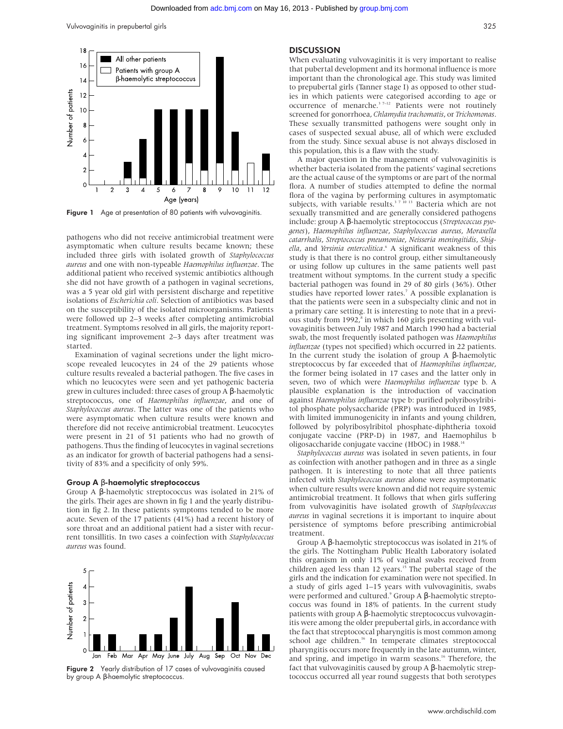Vulvovaginitis in prepubertal girls 325



Figure 1 Age at presentation of 80 patients with vulvovaginitis.

pathogens who did not receive antimicrobial treatment were asymptomatic when culture results became known; these included three girls with isolated growth of *Staphylococcus aureus* and one with non-typeable *Haemophilus influenzae*. The additional patient who received systemic antibiotics although she did not have growth of a pathogen in vaginal secretions, was a 5 year old girl with persistent discharge and repetitive isolations of *Escherichia coli*. Selection of antibiotics was based on the susceptibility of the isolated microorganisms. Patients were followed up 2–3 weeks after completing antimicrobial treatment. Symptoms resolved in all girls, the majority reporting significant improvement 2–3 days after treatment was started.

Examination of vaginal secretions under the light microscope revealed leucocytes in 24 of the 29 patients whose culture results revealed a bacterial pathogen. The five cases in which no leucocytes were seen and yet pathogenic bacteria grew in cultures included: three cases of group A β-haemolytic streptococcus, one of *Haemophilus influenzae*, and one of *Staphylococcus aureus*. The latter was one of the patients who were asymptomatic when culture results were known and therefore did not receive antimicrobial treatment. Leucocytes were present in 21 of 51 patients who had no growth of pathogens. Thus the finding of leucocytes in vaginal secretions as an indicator for growth of bacterial pathogens had a sensitivity of 83% and a specificity of only 59%.

#### Group A β-haemolytic streptococcus

Group A β-haemolytic streptococcus was isolated in 21% of the girls. Their ages are shown in fig 1 and the yearly distribution in fig 2. In these patients symptoms tended to be more acute. Seven of the 17 patients (41%) had a recent history of sore throat and an additional patient had a sister with recurrent tonsillitis. In two cases a coinfection with *Staphylococcus aureus* was found.



Figure 2 Yearly distribution of 17 cases of vulvovaginitis caused by group A β-haemolytic streptococcus.

### **DISCUSSION**

When evaluating vulvovaginitis it is very important to realise that pubertal development and its hormonal influence is more important than the chronological age. This study was limited to prepubertal girls (Tanner stage I) as opposed to other studies in which patients were categorised according to age or occurrence of menarche. $37-12$  Patients were not routinely screened for gonorrhoea, *Chlamydia trachomatis*, or *Trichomonas*. These sexually transmitted pathogens were sought only in cases of suspected sexual abuse, all of which were excluded from the study. Since sexual abuse is not always disclosed in this population, this is a flaw with the study.

A major question in the management of vulvovaginitis is whether bacteria isolated from the patients' vaginal secretions are the actual cause of the symptoms or are part of the normal flora. A number of studies attempted to define the normal flora of the vagina by performing cultures in asymptomatic subjects, with variable results.<sup>3 7 10 13</sup> Bacteria which are not sexually transmitted and are generally considered pathogens include: group A β-haemolytic streptococcus (*Streptococcus pyogenes*), *Haemophilus influenzae*, *Staphylococcus aureus*, *Moraxella catarrhalis*, *Streptococcus pneumoniae*, *Neisseria meningitidis*, *Shigella*, and *Yersinia entercolitica*. <sup>6</sup> A significant weakness of this study is that there is no control group, either simultaneously or using follow up cultures in the same patients well past treatment without symptoms. In the current study a specific bacterial pathogen was found in 29 of 80 girls (36%). Other studies have reported lower rates.<sup>7</sup> A possible explanation is that the patients were seen in a subspecialty clinic and not in a primary care setting. It is interesting to note that in a previous study from 1992, $\delta$  in which 160 girls presenting with vulvovaginitis between July 1987 and March 1990 had a bacterial swab, the most frequently isolated pathogen was *Haemophilus influenzae* (types not specified) which occurred in 22 patients. In the current study the isolation of group A β-haemolytic streptococcus by far exceeded that of *Haemophilus influenzae*, the former being isolated in 17 cases and the latter only in seven, two of which were *Haemophilus influenzae* type b. A plausible explanation is the introduction of vaccination against *Haemophilus influenzae* type b: purified polyribosylribitol phosphate polysaccharide (PRP) was introduced in 1985, with limited immunogenicity in infants and young children, followed by polyribosylribitol phosphate-diphtheria toxoid conjugate vaccine (PRP-D) in 1987, and Haemophilus b oligosaccharide conjugate vaccine (HbOC) in 1988.<sup>14</sup>

*Staphylococcus aureus* was isolated in seven patients, in four as coinfection with another pathogen and in three as a single pathogen. It is interesting to note that all three patients infected with *Staphylococcus aureus* alone were asymptomatic when culture results were known and did not require systemic antimicrobial treatment. It follows that when girls suffering from vulvovaginitis have isolated growth of *Staphylococcus aureus* in vaginal secretions it is important to inquire about persistence of symptoms before prescribing antimicrobial treatment.

Group A β-haemolytic streptococcus was isolated in 21% of the girls. The Nottingham Public Health Laboratory isolated this organism in only 11% of vaginal swabs received from children aged less than 12 years.<sup>15</sup> The pubertal stage of the girls and the indication for examination were not specified. In a study of girls aged 1–15 years with vulvovaginitis, swabs were performed and cultured.<sup>9</sup> Group A β-haemolytic streptococcus was found in 18% of patients. In the current study patients with group A β-haemolytic streptococcus vulvovaginitis were among the older prepubertal girls, in accordance with the fact that streptococcal pharyngitis is most common among school age children.<sup>16</sup> In temperate climates streptococcal pharyngitis occurs more frequently in the late autumn, winter, and spring, and impetigo in warm seasons.<sup>16</sup> Therefore, the fact that vulvovaginitis caused by group A β-haemolytic streptococcus occurred all year round suggests that both serotypes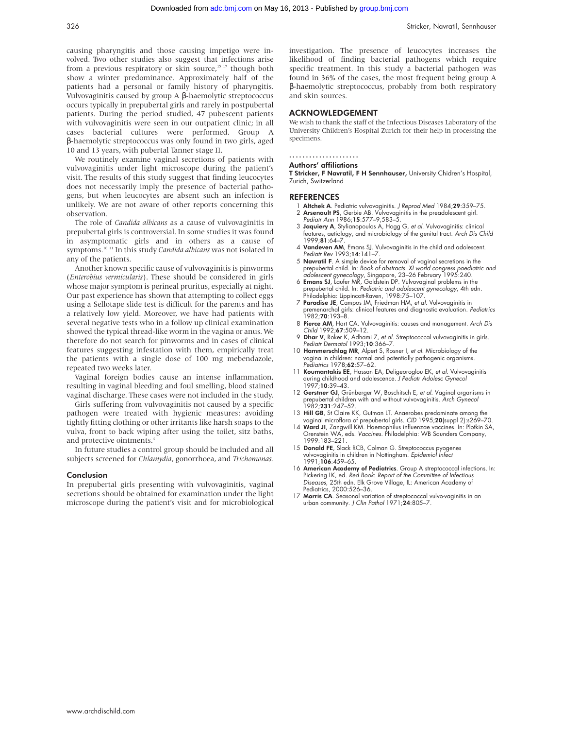causing pharyngitis and those causing impetigo were involved. Two other studies also suggest that infections arise from a previous respiratory or skin source,<sup>15 17</sup> though both show a winter predominance. Approximately half of the

patients had a personal or family history of pharyngitis. Vulvovaginitis caused by group A β-haemolytic streptococcus occurs typically in prepubertal girls and rarely in postpubertal patients. During the period studied, 47 pubescent patients with vulvovaginitis were seen in our outpatient clinic; in all cases bacterial cultures were performed. Group A β-haemolytic streptococcus was only found in two girls, aged 10 and 13 years, with pubertal Tanner stage II.

We routinely examine vaginal secretions of patients with vulvovaginitis under light microscope during the patient's visit. The results of this study suggest that finding leucocytes does not necessarily imply the presence of bacterial pathogens, but when leucocytes are absent such an infection is unlikely. We are not aware of other reports concerning this observation.

The role of *Candida albicans* as a cause of vulvovaginitis in prepubertal girls is controversial. In some studies it was found in asymptomatic girls and in others as a cause of symptoms.10 11 In this study *Candida albicans* was not isolated in any of the patients.

Another known specific cause of vulvovaginitis is pinworms (*Enterobius vermicularis*). These should be considered in girls whose major symptom is perineal pruritus, especially at night. Our past experience has shown that attempting to collect eggs using a Sellotape slide test is difficult for the parents and has a relatively low yield. Moreover, we have had patients with several negative tests who in a follow up clinical examination showed the typical thread-like worm in the vagina or anus. We therefore do not search for pinworms and in cases of clinical features suggesting infestation with them, empirically treat the patients with a single dose of 100 mg mebendazole, repeated two weeks later.

Vaginal foreign bodies cause an intense inflammation, resulting in vaginal bleeding and foul smelling, blood stained vaginal discharge. These cases were not included in the study.

Girls suffering from vulvovaginitis not caused by a specific pathogen were treated with hygienic measures: avoiding tightly fitting clothing or other irritants like harsh soaps to the vulva, front to back wiping after using the toilet, sitz baths, and protective ointments.<sup>4</sup>

In future studies a control group should be included and all subjects screened for *Chlamydia*, gonorrhoea, and *Trichomonas*.

#### Conclusion

In prepubertal girls presenting with vulvovaginitis, vaginal secretions should be obtained for examination under the light microscope during the patient's visit and for microbiological

investigation. The presence of leucocytes increases the likelihood of finding bacterial pathogens which require specific treatment. In this study a bacterial pathogen was found in 36% of the cases, the most frequent being group A β-haemolytic streptococcus, probably from both respiratory and skin sources.

## ACKNOWLEDGEMENT

We wish to thank the staff of the Infectious Diseases Laboratory of the University Children's Hospital Zurich for their help in processing the specimens.

## .....................

## Authors' affiliations

T Stricker, F Navratil, F H Sennhauser, University Chidren's Hospital, Zurich, Switzerland

### REFERENCES

- Altchek A. Pediatric vulvovaginitis. J Reprod Med 1984;29:359-75.
- 2 Arsenault PS, Gerbie AB. Vulvovaginitis in the preadolescent girl. Pediatr Ann 1986;15:577–9,583–5.
- 3 Jaquiery A, Stylianopoulos A, Hogg G, et al. Vulvovaginitis: clinical features, aetiology, and microbiology of the genital tract. Arch Dis Child 1999;81:64–7.
- 4 Vandeven AM, Emans SJ. Vulvovaginitis in the child and adolescent. Pediatr Rev 1993;14:141–7.
- 5 Navratil F. A simple device for removal of vaginal secretions in the prepubertal child. In: Book of abstracts. XI world congress paediatric and<br>| adolescent gynecology, Singapore, 23–26 February 1995:240.<br>| 6 **Emans SJ**, Laufer MR, Goldstein DP. Vulvovaginal problems in the
- prepubertal child. In: Pediatric and adolescent gynecology, 4th edn. Philadelphia: Lippincott-Raven, 1998:75–107.
- 7 Paradise JE, Campos JM, Friedman HM, et al. Vulvovaginitis in premenarchal girls: clinical features and diagnostic evaluation. Pediatrics 1982;70:193–8.
- 8 Pierce AM, Hart CA. Vulvovaginitis: causes and management. Arch Dis Child 1992;67:509–12.
- 9 Dhar V, Roker K, Adhami Z, et al. Streptococcal vulvovaginitis in girls. Pediatr Dermatol 1993;10:366–7.
- 10 Hammerschlag MR, Alpert S, Rosner I, et al. Microbiology of the vagina in children: normal and potentially pathogenic organisms. Pediatrics 1978;62:57–62.
- 11 Koumantakis EE, Hassan EA, Deligeoroglou EK, et al. Vulvovaginitis during childhood and adolescence. J Pediatr Adolesc Gynecol 1997;10:39–43.
- 12 Gerstner GJ, Grünberger W, Boschitsch E, et al. Vaginal organisms in prepubertal children with and without vulvovaginitis. Arch Gynecol 1982;231:247–52.
- 13 Hill GB, St Claire KK, Gutman LT. Anaerobes predominate among the vaginal microflora of prepubertal girls. CID 1995;20(suppl 2):s269–70.
- 14 Ward JI, Zangwill KM. Haemophilus influenzae vaccines. In: Plotkin SA, Orenstein WA, eds. Vaccines. Philadelphia: WB Saunders Company, 1999:183–221.
- 15 Donald FE, Slack RCB, Colman G. Streptococcus pyogenes vulvovaginitis in children in Nottingham. Epidemiol Infect 1991:106:459-65.
- 16 American Academy of Pediatrics. Group A streptococcal infections. In: Pickering LK, ed. Red Book: Report of the Committee of Infectious Diseases, 25th edn. Elk Grove Village, IL: American Academy of Pediatrics, 2000:526–36.
- 17 Morris CA. Seasonal variation of streptococcal vulvo-vaginitis in an urban community. J Clin Pathol 1971;24:805-7.